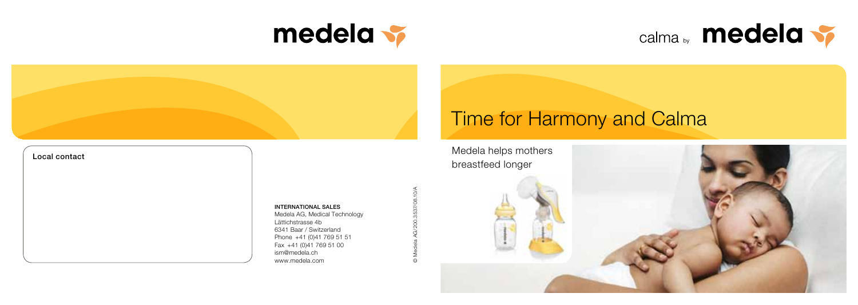





#### Local contact

INTERNATIONAL SALES Medela AG, Medical Technology Lättichstrasse 4b 6341 Baar / Switzerland Phone +41 (0)41 769 51 51 Fax +41 (0)41 769 51 00 ism@medela.ch www.medela.com

© Medela AG/200.3537/08.10/A

 $\sim$ 

# Time for Harmony and Calma

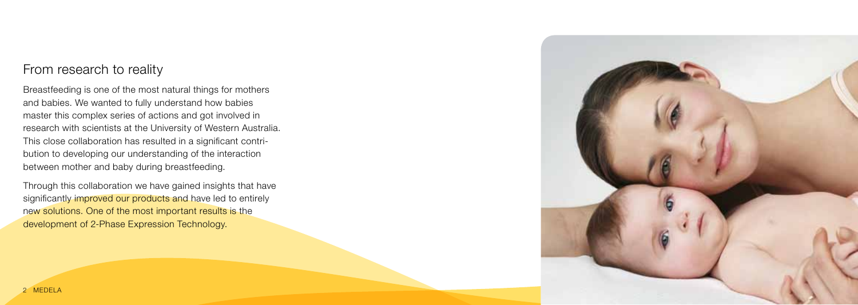#### From research to reality

Breastfeeding is one of the most natural things for mothers and babies. We wanted to fully understand how babies master this complex series of actions and got involved in research with scientists at the University of Western Australia. This close collaboration has resulted in a significant contribution to developing our understanding of the interaction between mother and baby during breastfeeding.

Through this collaboration we have gained insights that have significantly improved our products and have led to entirely new solutions. One of the most important results is the development of 2-Phase Expression Technology.

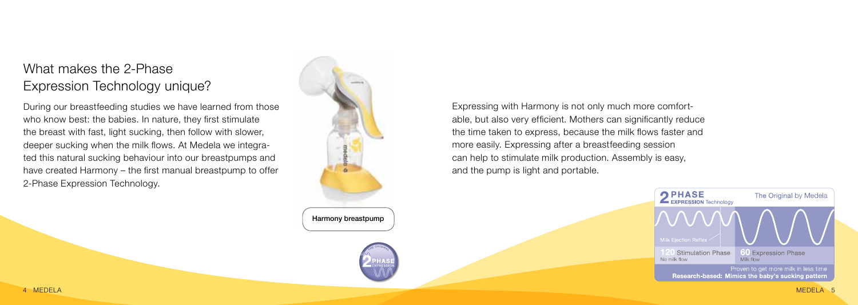# What makes the 2-Phase Expression Technology unique?

During our breastfeeding studies we have learned from those who know best: the babies. In nature, they first stimulate the breast with fast, light sucking, then follow with slower, deeper sucking when the milk flows. At Medela we integrated this natural sucking behaviour into our breastpumps and have created Harmony – the first manual breastpump to offer 2-Phase Expression Technology.



Expressing with Harmony is not only much more comfortable, but also very efficient. Mothers can significantly reduce the time taken to express, because the milk flows faster and more easily. Expressing after a breastfeeding session can help to stimulate milk production. Assembly is easy, and the pump is light and portable.

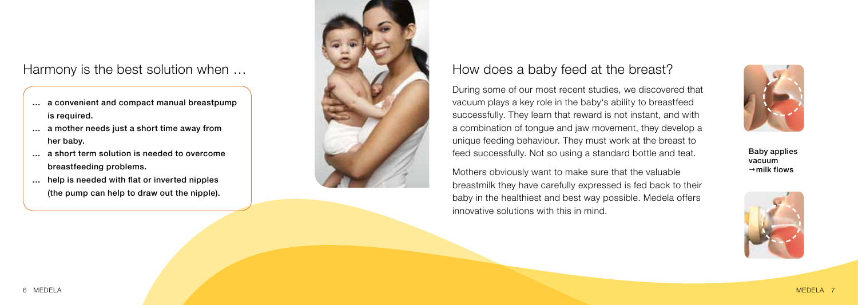### Harmony is the best solution when …

- … a convenient and compact manual breastpump is required.
- … a mother needs just a short time away from her baby.
- … a short term solution is needed to overcome breastfeeding problems.
- … help is needed with flat or inverted nipples (the pump can help to draw out the nipple).



### How does a baby feed at the breast?

During some of our most recent studies, we discovered that vacuum plays a key role in the baby's ability to breastfeed successfully. They learn that reward is not instant, and with a combination of tongue and jaw movement, they develop a unique feeding behaviour. They must work at the breast to feed successfully. Not so using a standard bottle and teat.

Mothers obviously want to make sure that the valuable breastmilk they have carefully expressed is fed back to their baby in the healthiest and best way possible. Medela offers innovative solutions with this in mind.



Baby applies vacuum  $\rightarrow$ milk flows

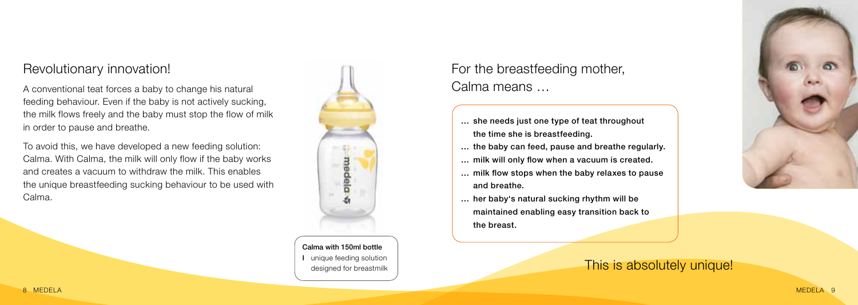#### Revolutionary innovation!

A conventional teat forces a baby to change his natural feeding behaviour. Even if the baby is not actively sucking, the milk flows freely and the baby must stop the flow of milk in order to pause and breathe.

To avoid this, we have developed a new feeding solution: Calma. With Calma, the milk will only flow if the baby works and creates a vacuum to withdraw the milk. This enables the unique breastfeeding sucking behaviour to be used with Calma.



# I unique feeding solution designed for breastmilk

For the breastfeeding mother, Calma means …

- … she needs just one type of teat throughout the time she is breastfeeding.
- … the baby can feed, pause and breathe regularly.
- … milk will only flow when a vacuum is created.
- … milk flow stops when the baby relaxes to pause and breathe.
- … her baby's natural sucking rhythm will be maintained enabling easy transition back to the breast.

#### This is absolutely unique!